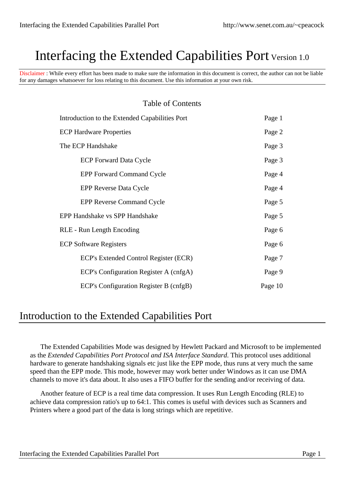## Interfacing the Extended Capabilities Port Version 1.0

Disclaimer : While every effort has been made to make sure the information in this document is correct, the author can not be liable for any damages whatsoever for loss relating to this document. Use this information at your own risk.

#### Table of Contents

| Introduction to the Extended Capabilities Port<br>Page 1 |         |  |
|----------------------------------------------------------|---------|--|
| <b>ECP Hardware Properties</b>                           | Page 2  |  |
| The ECP Handshake                                        | Page 3  |  |
| <b>ECP</b> Forward Data Cycle                            | Page 3  |  |
| <b>EPP Forward Command Cycle</b>                         | Page 4  |  |
| <b>EPP Reverse Data Cycle</b>                            | Page 4  |  |
| <b>EPP Reverse Command Cycle</b>                         | Page 5  |  |
| EPP Handshake vs SPP Handshake                           | Page 5  |  |
| RLE - Run Length Encoding                                | Page 6  |  |
| <b>ECP Software Registers</b>                            | Page 6  |  |
| ECP's Extended Control Register (ECR)                    | Page 7  |  |
| ECP's Configuration Register A (cnfgA)                   | Page 9  |  |
| ECP's Configuration Register B (cnfgB)                   | Page 10 |  |

#### Introduction to the Extended Capabilities Port

The Extended Capabilities Mode was designed by Hewlett Packard and Microsoft to be implemented as the *Extended Capabilities Port Protocol and ISA Interface Standard*. This protocol uses additional hardware to generate handshaking signals etc just like the EPP mode, thus runs at very much the same speed than the EPP mode. This mode, however may work better under Windows as it can use DMA channels to move it's data about. It also uses a FIFO buffer for the sending and/or receiving of data.

Another feature of ECP is a real time data compression. It uses Run Length Encoding (RLE) to achieve data compression ratio's up to 64:1. This comes is useful with devices such as Scanners and Printers where a good part of the data is long strings which are repetitive.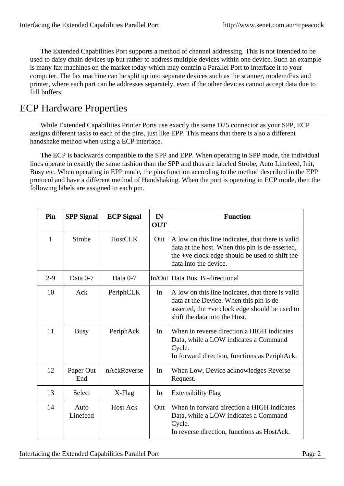The Extended Capabilities Port supports a method of channel addressing. This is not intended to be used to daisy chain devices up but rather to address multiple devices within one device. Such an example is many fax machines on the market today which may contain a Parallel Port to interface it to your computer. The fax machine can be split up into separate devices such as the scanner, modem/Fax and printer, where each part can be addresses separately, even if the other devices cannot accept data due to full buffers.

#### ECP Hardware Properties

While Extended Capabilities Printer Ports use exactly the same D25 connector as your SPP, ECP assigns different tasks to each of the pins, just like EPP. This means that there is also a different handshake method when using a ECP interface.

The ECP is backwards compatible to the SPP and EPP. When operating in SPP mode, the individual lines operate in exactly the same fashion than the SPP and thus are labeled Strobe, Auto Linefeed, Init, Busy etc. When operating in EPP mode, the pins function according to the method described in the EPP protocol and have a different method of Handshaking. When the port is operating in ECP mode, then the following labels are assigned to each pin.

| Pin          | <b>SPP</b> Signal | <b>ECP Signal</b> | IN<br><b>OUT</b> | <b>Function</b>                                                                                                                                                                  |
|--------------|-------------------|-------------------|------------------|----------------------------------------------------------------------------------------------------------------------------------------------------------------------------------|
| $\mathbf{1}$ | Strobe            | <b>HostCLK</b>    | Out              | A low on this line indicates, that there is valid<br>data at the host. When this pin is de-asserted,<br>the +ve clock edge should be used to shift the<br>data into the device.  |
| $2 - 9$      | Data 0-7          | Data 0-7          |                  | In/Outl Data Bus. Bi-directional                                                                                                                                                 |
| 10           | Ack               | PeriphCLK         | In               | A low on this line indicates, that there is valid<br>data at the Device. When this pin is de-<br>asserted, the +ve clock edge should be used to<br>shift the data into the Host. |
| 11           | <b>Busy</b>       | PeriphAck         | In               | When in reverse direction a HIGH indicates<br>Data, while a LOW indicates a Command<br>Cycle.<br>In forward direction, functions as PeriphAck.                                   |
| 12           | Paper Out<br>End  | nAckReverse       | In               | When Low, Device acknowledges Reverse<br>Request.                                                                                                                                |
| 13           | Select            | X-Flag            | In               | <b>Extensibility Flag</b>                                                                                                                                                        |
| 14           | Auto<br>Linefeed  | Host Ack          | Out              | When in forward direction a HIGH indicates<br>Data, while a LOW indicates a Command<br>Cycle.<br>In reverse direction, functions as HostAck.                                     |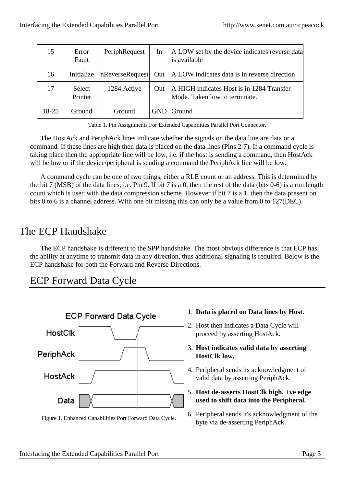| 15    | Error<br>Fault    | PeriphRequest      | In         | A LOW set by the device indicates reverse data<br>is available             |
|-------|-------------------|--------------------|------------|----------------------------------------------------------------------------|
| 16    | Initialize        | $n$ ReverseRequest |            | Out   A LOW indicates data is in reverse direction                         |
| 17    | Select<br>Printer | 1284 Active        | Out        | A HIGH indicates Host is in 1284 Transfer<br>Mode. Taken low to terminate. |
| 18-25 | Ground            | Ground             | <b>GND</b> | Ground                                                                     |

Table 1. Pin Assignments For Extended Capabilities Parallel Port Connector.

The HostAck and PeriphAck lines indicate whether the signals on the data line are data or a command. If these lines are high then data is placed on the data lines (Pins 2-7). If a command cycle is taking place then the appropriate line will be low, i.e. if the host is sending a command, then HostAck will be low or if the device/peripheral is sending a command the PeriphAck line will be low.

A command cycle can be one of two things, either a RLE count or an address. This is determined by the bit 7 (MSB) of the data lines, i.e. Pin 9. If bit 7 is a 0, then the rest of the data (bits 0-6) is a run length count which is used with the data compression scheme. However if bit 7 is a 1, then the data present on bits 0 to 6 is a channel address. With one bit missing this can only be a value from 0 to 127(DEC).

#### The ECP Handshake

The ECP handshake is different to the SPP handshake. The most obvious difference is that ECP has the ability at anytime to transmit data in any direction, thus additional signaling is required. Below is the ECP handshake for both the Forward and Reverse Directions.

### ECP Forward Data Cycle



Figure 1. Enhanced Capabilities Port Forward Data Cycle.

- 1. **Data is placed on Data lines by Host.**
- 2. Host then indicates a Data Cycle will proceed by asserting HostAck.
- 3. **Host indicates valid data by asserting HostClk low.**
- 4. Peripheral sends its acknowledgment of valid data by asserting PeriphAck.
- 5. **Host de-asserts HostClk high. +ve edge used to shift data into the Peripheral.**
- 6. Peripheral sends it's acknowledgment of the byte via de-asserting PeriphAck.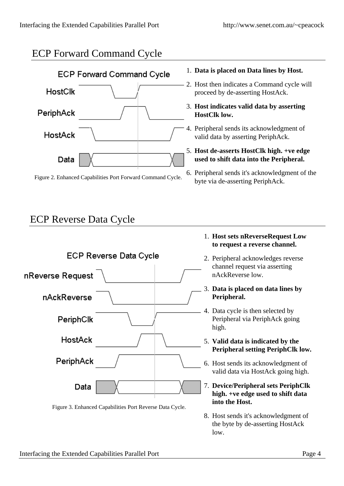#### ECP Forward Command Cycle



Figure 2. Enhanced Capabilities Port Forward Command Cycle.

## ECP Reverse Data Cycle



#### 1. **Data is placed on Data lines by Host.**

- 2. Host then indicates a Command cycle will proceed by de-asserting HostAck.
- 3. **Host indicates valid data by asserting HostClk low.**
- 4. Peripheral sends its acknowledgment of valid data by asserting PeriphAck.
- 5. **Host de-asserts HostClk high. +ve edge used to shift data into the Peripheral.**
- 6. Peripheral sends it's acknowledgment of the byte via de-asserting PeriphAck.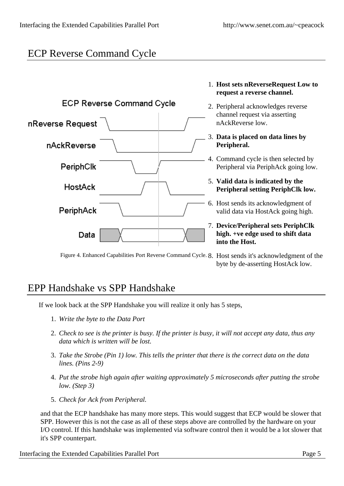#### ECP Reverse Command Cycle



Figure 4. Enhanced Capabilities Port Reverse Command Cycle. 8. Host sends it's acknowledgment of the

# byte by de-asserting HostAck low.

### EPP Handshake vs SPP Handshake

If we look back at the SPP Handshake you will realize it only has 5 steps,

- 1. *Write the byte to the Data Port*
- 2. *Check to see is the printer is busy. If the printer is busy, it will not accept any data, thus any data which is written will be lost.*
- 3. *Take the Strobe (Pin 1) low. This tells the printer that there is the correct data on the data lines. (Pins 2-9)*
- 4. *Put the strobe high again after waiting approximately 5 microseconds after putting the strobe low. (Step 3)*
- 5. *Check for Ack from Peripheral.*

and that the ECP handshake has many more steps. This would suggest that ECP would be slower that SPP. However this is not the case as all of these steps above are controlled by the hardware on your I/O control. If this handshake was implemented via software control then it would be a lot slower that it's SPP counterpart.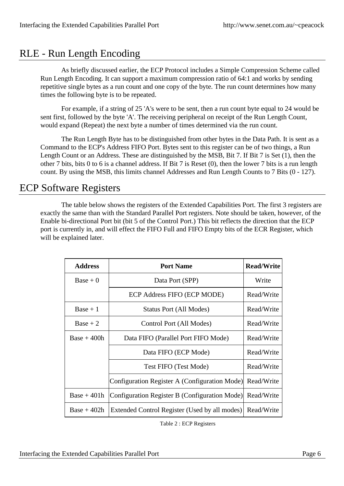#### RLE - Run Length Encoding

As briefly discussed earlier, the ECP Protocol includes a Simple Compression Scheme called Run Length Encoding. It can support a maximum compression ratio of 64:1 and works by sending repetitive single bytes as a run count and one copy of the byte. The run count determines how many times the following byte is to be repeated.

For example, if a string of 25 'A's were to be sent, then a run count byte equal to 24 would be sent first, followed by the byte 'A'. The receiving peripheral on receipt of the Run Length Count, would expand (Repeat) the next byte a number of times determined via the run count.

The Run Length Byte has to be distinguished from other bytes in the Data Path. It is sent as a Command to the ECP's Address FIFO Port. Bytes sent to this register can be of two things, a Run Length Count or an Address. These are distinguished by the MSB, Bit 7. If Bit 7 is Set (1), then the other 7 bits, bits 0 to 6 is a channel address. If Bit 7 is Reset (0), then the lower 7 bits is a run length count. By using the MSB, this limits channel Addresses and Run Length Counts to 7 Bits (0 - 127).

#### ECP Software Registers

The table below shows the registers of the Extended Capabilities Port. The first 3 registers are exactly the same than with the Standard Parallel Port registers. Note should be taken, however, of the Enable bi-directional Port bit (bit 5 of the Control Port.) This bit reflects the direction that the ECP port is currently in, and will effect the FIFO Full and FIFO Empty bits of the ECR Register, which will be explained later.

| <b>Address</b> | <b>Port Name</b>                                         | <b>Read/Write</b> |
|----------------|----------------------------------------------------------|-------------------|
| $Base + 0$     | Data Port (SPP)                                          | Write             |
|                | ECP Address FIFO (ECP MODE)                              | Read/Write        |
| $Base + 1$     | Status Port (All Modes)                                  | Read/Write        |
| $Base + 2$     | Control Port (All Modes)                                 | Read/Write        |
| $Base + 400h$  | Data FIFO (Parallel Port FIFO Mode)                      | Read/Write        |
|                | Data FIFO (ECP Mode)                                     | Read/Write        |
|                | Test FIFO (Test Mode)                                    | Read/Write        |
|                | Configuration Register A (Configuration Mode) Read/Write |                   |
| $Base + 401h$  | Configuration Register B (Configuration Mode) Read/Write |                   |
| $Base + 402h$  | Extended Control Register (Used by all modes)            | Read/Write        |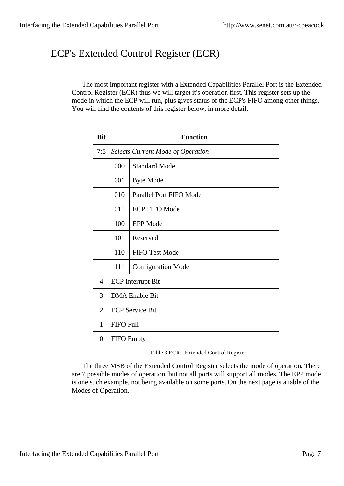#### ECP's Extended Control Register (ECR)

The most important register with a Extended Capabilities Parallel Port is the Extended Control Register (ECR) thus we will target it's operation first. This register sets up the mode in which the ECP will run, plus gives status of the ECP's FIFO among other things. You will find the contents of this register below, in more detail.

| <b>Bit</b>     | <b>Function</b>                          |                                |  |  |
|----------------|------------------------------------------|--------------------------------|--|--|
| 7:5            | <b>Selects Current Mode of Operation</b> |                                |  |  |
|                | 000                                      | <b>Standard Mode</b>           |  |  |
|                | 001                                      | <b>Byte Mode</b>               |  |  |
|                | 010                                      | <b>Parallel Port FIFO Mode</b> |  |  |
|                | 011                                      | <b>ECP FIFO Mode</b>           |  |  |
|                | 100<br><b>EPP</b> Mode                   |                                |  |  |
|                | 101                                      | Reserved                       |  |  |
|                | 110                                      | <b>FIFO Test Mode</b>          |  |  |
|                | 111                                      | <b>Configuration Mode</b>      |  |  |
| 4              | <b>ECP</b> Interrupt Bit                 |                                |  |  |
| 3              | <b>DMA</b> Enable Bit                    |                                |  |  |
| $\overline{2}$ | <b>ECP</b> Service Bit                   |                                |  |  |
| $\mathbf{1}$   | <b>FIFO Full</b>                         |                                |  |  |
| 0              | FIFO Empty                               |                                |  |  |

Table 3 ECR - Extended Control Register

The three MSB of the Extended Control Register selects the mode of operation. There are 7 possible modes of operation, but not all ports will support all modes. The EPP mode is one such example, not being available on some ports. On the next page is a table of the Modes of Operation.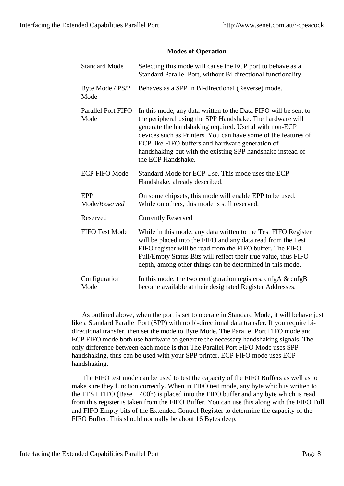|                                   | <b>HOUGHOLD</b> OF OPERATION                                                                                                                                                                                                                                                                                                                                                                     |
|-----------------------------------|--------------------------------------------------------------------------------------------------------------------------------------------------------------------------------------------------------------------------------------------------------------------------------------------------------------------------------------------------------------------------------------------------|
| <b>Standard Mode</b>              | Selecting this mode will cause the ECP port to behave as a<br>Standard Parallel Port, without Bi-directional functionality.                                                                                                                                                                                                                                                                      |
| Byte Mode / PS/2<br>Mode          | Behaves as a SPP in Bi-directional (Reverse) mode.                                                                                                                                                                                                                                                                                                                                               |
| <b>Parallel Port FIFO</b><br>Mode | In this mode, any data written to the Data FIFO will be sent to<br>the peripheral using the SPP Handshake. The hardware will<br>generate the handshaking required. Useful with non-ECP<br>devices such as Printers. You can have some of the features of<br>ECP like FIFO buffers and hardware generation of<br>handshaking but with the existing SPP handshake instead of<br>the ECP Handshake. |
| <b>ECP FIFO Mode</b>              | Standard Mode for ECP Use. This mode uses the ECP<br>Handshake, already described.                                                                                                                                                                                                                                                                                                               |
| <b>EPP</b><br>Mode/Reserved       | On some chipsets, this mode will enable EPP to be used.<br>While on others, this mode is still reserved.                                                                                                                                                                                                                                                                                         |
| Reserved                          | <b>Currently Reserved</b>                                                                                                                                                                                                                                                                                                                                                                        |
| <b>FIFO Test Mode</b>             | While in this mode, any data written to the Test FIFO Register<br>will be placed into the FIFO and any data read from the Test<br>FIFO register will be read from the FIFO buffer. The FIFO<br>Full/Empty Status Bits will reflect their true value, thus FIFO<br>depth, among other things can be determined in this mode.                                                                      |
| Configuration<br>Mode             | In this mode, the two configuration registers, cnfg $A \& \text{cnfgB}$<br>become available at their designated Register Addresses.                                                                                                                                                                                                                                                              |

#### **Modes of Operation**

As outlined above, when the port is set to operate in Standard Mode, it will behave just like a Standard Parallel Port (SPP) with no bi-directional data transfer. If you require bidirectional transfer, then set the mode to Byte Mode. The Parallel Port FIFO mode and ECP FIFO mode both use hardware to generate the necessary handshaking signals. The only difference between each mode is that The Parallel Port FIFO Mode uses SPP handshaking, thus can be used with your SPP printer. ECP FIFO mode uses ECP handshaking.

The FIFO test mode can be used to test the capacity of the FIFO Buffers as well as to make sure they function correctly. When in FIFO test mode, any byte which is written to the TEST FIFO (Base  $+$  400h) is placed into the FIFO buffer and any byte which is read from this register is taken from the FIFO Buffer. You can use this along with the FIFO Full and FIFO Empty bits of the Extended Control Register to determine the capacity of the FIFO Buffer. This should normally be about 16 Bytes deep.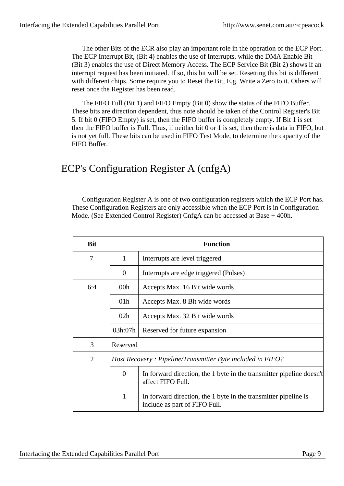The other Bits of the ECR also play an important role in the operation of the ECP Port. The ECP Interrupt Bit, (Bit 4) enables the use of Interrupts, while the DMA Enable Bit (Bit 3) enables the use of Direct Memory Access. The ECP Service Bit (Bit 2) shows if an interrupt request has been initiated. If so, this bit will be set. Resetting this bit is different with different chips. Some require you to Reset the Bit, E.g. Write a Zero to it. Others will reset once the Register has been read.

The FIFO Full (Bit 1) and FIFO Empty (Bit 0) show the status of the FIFO Buffer. These bits are direction dependent, thus note should be taken of the Control Register's Bit 5. If bit 0 (FIFO Empty) is set, then the FIFO buffer is completely empty. If Bit 1 is set then the FIFO buffer is Full. Thus, if neither bit 0 or 1 is set, then there is data in FIFO, but is not yet full. These bits can be used in FIFO Test Mode, to determine the capacity of the FIFO Buffer.

#### ECP's Configuration Register A (cnfgA)

Configuration Register A is one of two configuration registers which the ECP Port has. These Configuration Registers are only accessible when the ECP Port is in Configuration Mode. (See Extended Control Register) CnfgA can be accessed at Base + 400h.

| <b>Bit</b> | <b>Function</b>                                            |                                                                                                  |  |
|------------|------------------------------------------------------------|--------------------------------------------------------------------------------------------------|--|
| 7          | 1<br>Interrupts are level triggered                        |                                                                                                  |  |
|            | $\theta$                                                   | Interrupts are edge triggered (Pulses)                                                           |  |
| 6:4        | 00 <sub>h</sub>                                            | Accepts Max. 16 Bit wide words                                                                   |  |
|            | 01 <sub>h</sub>                                            | Accepts Max. 8 Bit wide words                                                                    |  |
|            | 02h                                                        | Accepts Max. 32 Bit wide words                                                                   |  |
|            | 03h:07h                                                    | Reserved for future expansion                                                                    |  |
| 3          | Reserved                                                   |                                                                                                  |  |
| 2          | Host Recovery: Pipeline/Transmitter Byte included in FIFO? |                                                                                                  |  |
|            | $\Omega$                                                   | In forward direction, the 1 byte in the transmitter pipeline doesn't<br>affect FIFO Full.        |  |
|            | 1                                                          | In forward direction, the 1 byte in the transmitter pipeline is<br>include as part of FIFO Full. |  |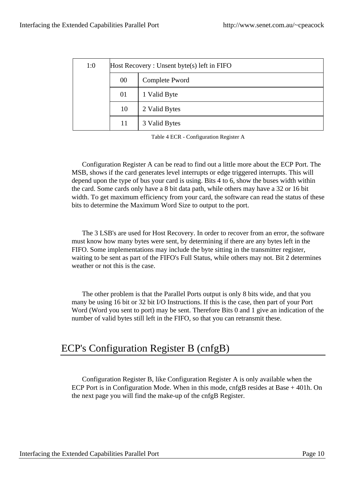| 1:0 | Host Recovery: Unsent byte $(s)$ left in FIFO |                |  |
|-----|-----------------------------------------------|----------------|--|
|     | 00                                            | Complete Pword |  |
|     | 01                                            | 1 Valid Byte   |  |
|     | 10                                            | 2 Valid Bytes  |  |
|     | 11                                            | 3 Valid Bytes  |  |

Table 4 ECR - Configuration Register A

Configuration Register A can be read to find out a little more about the ECP Port. The MSB, shows if the card generates level interrupts or edge triggered interrupts. This will depend upon the type of bus your card is using. Bits 4 to 6, show the buses width within the card. Some cards only have a 8 bit data path, while others may have a 32 or 16 bit width. To get maximum efficiency from your card, the software can read the status of these bits to determine the Maximum Word Size to output to the port.

The 3 LSB's are used for Host Recovery. In order to recover from an error, the software must know how many bytes were sent, by determining if there are any bytes left in the FIFO. Some implementations may include the byte sitting in the transmitter register, waiting to be sent as part of the FIFO's Full Status, while others may not. Bit 2 determines weather or not this is the case.

The other problem is that the Parallel Ports output is only 8 bits wide, and that you many be using 16 bit or 32 bit I/O Instructions. If this is the case, then part of your Port Word (Word you sent to port) may be sent. Therefore Bits 0 and 1 give an indication of the number of valid bytes still left in the FIFO, so that you can retransmit these.

## ECP's Configuration Register B (cnfgB)

Configuration Register B, like Configuration Register A is only available when the ECP Port is in Configuration Mode. When in this mode, cnfgB resides at Base + 401h. On the next page you will find the make-up of the cnfgB Register.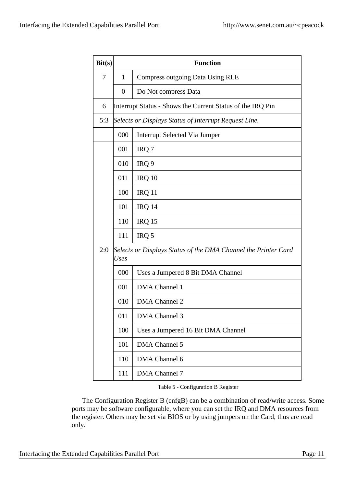| Bit(s) |                  | <b>Function</b>                                                |  |  |  |  |
|--------|------------------|----------------------------------------------------------------|--|--|--|--|
| 7      | $\mathbf{1}$     | Compress outgoing Data Using RLE                               |  |  |  |  |
|        | $\boldsymbol{0}$ | Do Not compress Data                                           |  |  |  |  |
| 6      |                  | Interrupt Status - Shows the Current Status of the IRQ Pin     |  |  |  |  |
| 5:3    |                  | Selects or Displays Status of Interrupt Request Line.          |  |  |  |  |
|        | 000              | <b>Interrupt Selected Via Jumper</b>                           |  |  |  |  |
|        | 001              | IRQ 7                                                          |  |  |  |  |
|        | 010              | IRQ 9                                                          |  |  |  |  |
|        | 011              | <b>IRQ 10</b>                                                  |  |  |  |  |
|        | 100              | IRQ 11                                                         |  |  |  |  |
|        | 101              | <b>IRQ 14</b>                                                  |  |  |  |  |
|        | 110              | IRQ 15                                                         |  |  |  |  |
|        | 111              | IRQ 5                                                          |  |  |  |  |
| 2:0    | <b>Uses</b>      | Selects or Displays Status of the DMA Channel the Printer Card |  |  |  |  |
|        | 000              | Uses a Jumpered 8 Bit DMA Channel                              |  |  |  |  |
|        | 001              | <b>DMA</b> Channel 1                                           |  |  |  |  |
|        | 010              | DMA Channel 2                                                  |  |  |  |  |
|        | 011              | DMA Channel 3                                                  |  |  |  |  |
|        | 100              | Uses a Jumpered 16 Bit DMA Channel                             |  |  |  |  |
|        | 101              | DMA Channel 5                                                  |  |  |  |  |
|        | 110              | DMA Channel 6                                                  |  |  |  |  |
|        | 111              | DMA Channel 7                                                  |  |  |  |  |

Table 5 - Configuration B Register

The Configuration Register B (cnfgB) can be a combination of read/write access. Some ports may be software configurable, where you can set the IRQ and DMA resources from the register. Others may be set via BIOS or by using jumpers on the Card, thus are read only.